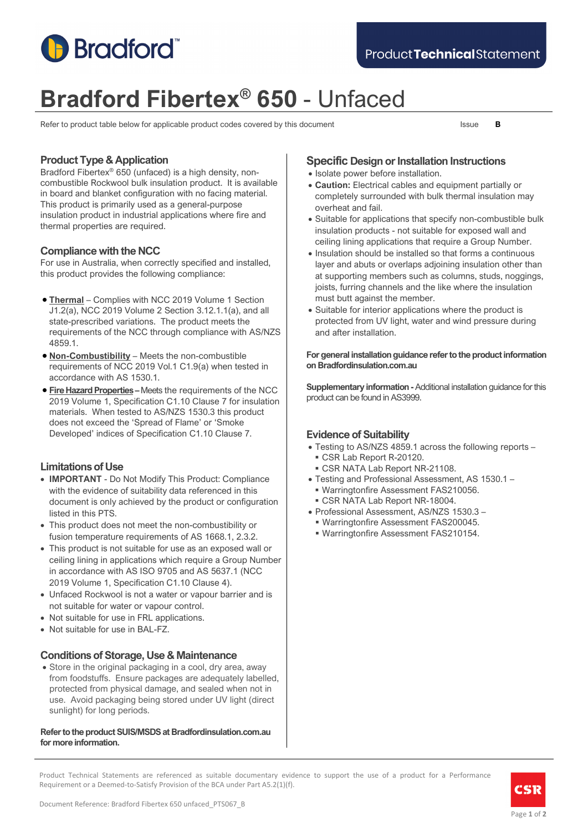

# **Bradford Fibertex® 650** - Unfaced

Refer to product table below for applicable product codes covered by this document Issue **B** 

# **Product Type & Application**

Bradford Fibertex® 650 (unfaced) is a high density, noncombustible Rockwool bulk insulation product. It is available in board and blanket configuration with no facing material. This product is primarily used as a general-purpose insulation product in industrial applications where fire and thermal properties are required.

# **Compliance with the NCC**

For use in Australia, when correctly specified and installed, this product provides the following compliance:

- **Thermal** Complies with NCC 2019 Volume 1 Section J1.2(a), NCC 2019 Volume 2 Section 3.12.1.1(a), and all state-prescribed variations. The product meets the requirements of the NCC through compliance with AS/NZS 4859.1.
- **Non-Combustibility** Meets the non-combustible requirements of NCC 2019 Vol.1 C1.9(a) when tested in accordance with AS 1530.1.
- **Fire Hazard Properties –** Meets the requirements of the NCC 2019 Volume 1, Specification C1.10 Clause 7 for insulation materials. When tested to AS/NZS 1530.3 this product does not exceed the 'Spread of Flame' or 'Smoke Developed' indices of Specification C1.10 Clause 7.

# **Limitations of Use**

- **IMPORTANT** Do Not Modify This Product: Compliance with the evidence of suitability data referenced in this document is only achieved by the product or configuration listed in this PTS.
- This product does not meet the non-combustibility or fusion temperature requirements of AS 1668.1, 2.3.2.
- This product is not suitable for use as an exposed wall or ceiling lining in applications which require a Group Number in accordance with AS ISO 9705 and AS 5637.1 (NCC 2019 Volume 1, Specification C1.10 Clause 4).
- Unfaced Rockwool is not a water or vapour barrier and is not suitable for water or vapour control.
- Not suitable for use in FRL applications.
- Not suitable for use in BAL-FZ.

# **Conditions of Storage, Use & Maintenance**

• Store in the original packaging in a cool, dry area, away from foodstuffs. Ensure packages are adequately labelled, protected from physical damage, and sealed when not in use. Avoid packaging being stored under UV light (direct sunlight) for long periods.

#### **Refer to the product SUIS/MSDS at Bradfordinsulation.com.au for more information.**

# **Specific Design or Installation Instructions**

- Isolate power before installation.
- **Caution:** Electrical cables and equipment partially or completely surrounded with bulk thermal insulation may overheat and fail.
- Suitable for applications that specify non-combustible bulk insulation products - not suitable for exposed wall and ceiling lining applications that require a Group Number.
- Insulation should be installed so that forms a continuous layer and abuts or overlaps adjoining insulation other than at supporting members such as columns, studs, noggings, joists, furring channels and the like where the insulation must butt against the member.
- Suitable for interior applications where the product is protected from UV light, water and wind pressure during and after installation.

#### **For general installation guidance refer to the product information on Bradfordinsulation.com.au**

**Supplementary information -**Additional installation guidance for this product can be found in AS3999.

# **Evidence of Suitability**

- Testing to AS/NZS 4859.1 across the following reports
	- CSR Lab Report R-20120. CSR NATA Lab Report NR-21108.
- Testing and Professional Assessment, AS 1530.1
	- Warringtonfire Assessment FAS210056.
	- CSR NATA Lab Report NR-18004.
- Professional Assessment, AS/NZS 1530.3
	- Warringtonfire Assessment FAS200045.
	- Warringtonfire Assessment FAS210154.

Product Technical Statements are referenced as suitable documentary evidence to support the use of a product for a Performance Requirement or a Deemed-to-Satisfy Provision of the BCA under Part A5.2(1)(f).